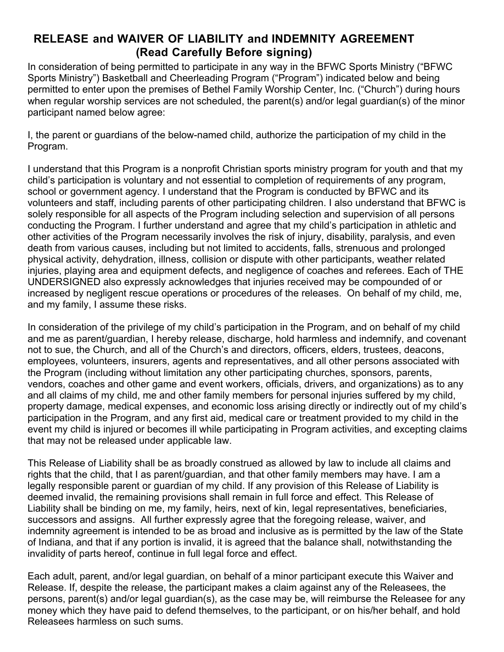## **RELEASE and WAIVER OF LIABILITY and INDEMNITY AGREEMENT (Read Carefully Before signing)**

In consideration of being permitted to participate in any way in the BFWC Sports Ministry ("BFWC Sports Ministry") Basketball and Cheerleading Program ("Program") indicated below and being permitted to enter upon the premises of Bethel Family Worship Center, Inc. ("Church") during hours when regular worship services are not scheduled, the parent(s) and/or legal guardian(s) of the minor participant named below agree:

I, the parent or guardians of the below-named child, authorize the participation of my child in the Program.

I understand that this Program is a nonprofit Christian sports ministry program for youth and that my child's participation is voluntary and not essential to completion of requirements of any program, school or government agency. I understand that the Program is conducted by BFWC and its volunteers and staff, including parents of other participating children. I also understand that BFWC is solely responsible for all aspects of the Program including selection and supervision of all persons conducting the Program. I further understand and agree that my child's participation in athletic and other activities of the Program necessarily involves the risk of injury, disability, paralysis, and even death from various causes, including but not limited to accidents, falls, strenuous and prolonged physical activity, dehydration, illness, collision or dispute with other participants, weather related injuries, playing area and equipment defects, and negligence of coaches and referees. Each of THE UNDERSIGNED also expressly acknowledges that injuries received may be compounded of or increased by negligent rescue operations or procedures of the releases. On behalf of my child, me, and my family, I assume these risks.

In consideration of the privilege of my child's participation in the Program, and on behalf of my child and me as parent/guardian, I hereby release, discharge, hold harmless and indemnify, and covenant not to sue, the Church, and all of the Church's and directors, officers, elders, trustees, deacons, employees, volunteers, insurers, agents and representatives, and all other persons associated with the Program (including without limitation any other participating churches, sponsors, parents, vendors, coaches and other game and event workers, officials, drivers, and organizations) as to any and all claims of my child, me and other family members for personal injuries suffered by my child, property damage, medical expenses, and economic loss arising directly or indirectly out of my child's participation in the Program, and any first aid, medical care or treatment provided to my child in the event my child is injured or becomes ill while participating in Program activities, and excepting claims that may not be released under applicable law.

This Release of Liability shall be as broadly construed as allowed by law to include all claims and rights that the child, that I as parent/guardian, and that other family members may have. I am a legally responsible parent or guardian of my child. If any provision of this Release of Liability is deemed invalid, the remaining provisions shall remain in full force and effect. This Release of Liability shall be binding on me, my family, heirs, next of kin, legal representatives, beneficiaries, successors and assigns. All further expressly agree that the foregoing release, waiver, and indemnity agreement is intended to be as broad and inclusive as is permitted by the law of the State of Indiana, and that if any portion is invalid, it is agreed that the balance shall, notwithstanding the invalidity of parts hereof, continue in full legal force and effect.

Each adult, parent, and/or legal guardian, on behalf of a minor participant execute this Waiver and Release. If, despite the release, the participant makes a claim against any of the Releasees, the persons, parent(s) and/or legal guardian(s), as the case may be, will reimburse the Releasee for any money which they have paid to defend themselves, to the participant, or on his/her behalf, and hold Releasees harmless on such sums.